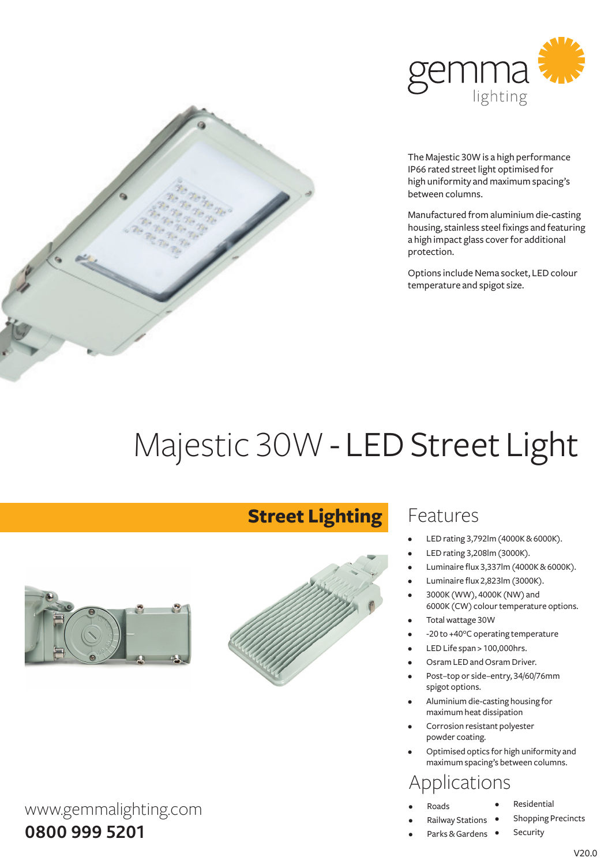

The Majestic 30W is a high performance IP66 rated street light optimised for high uniformity and maximum spacing's between columns.

Manufactured from aluminium die-casting housing, stainless steel fixings and featuring a high impact glass cover for additional protection.

Options include Nema socket, LED colour temperature and spigot size.

# Majestic 30W - LED Street Light



www.gemmalighting.com

#### **0800 999 5201**

## **Street Lighting**



### Features

- LED rating 3,792lm (4000K & 6000K).
- LED rating 3,208lm (3000K).
- Luminaire flux 3,337lm (4000K & 6000K).
- Luminaire flux 2,823lm (3000K).
- 3000K (WW), 4000K (NW) and 6000K (CW) colour temperature options.
- Total wattage 30W
- -20 to +40°C operating temperature
- LED Life span > 100,000hrs.
- Osram LED and Osram Driver.
- Post–top or side–entry, 34/60/76mm spigot options.
- Aluminium die-casting housing for maximum heat dissipation
- Corrosion resistant polyester powder coating.
- Optimised optics for high uniformity and maximum spacing's between columns.

## Applications

- Roads
- **Residential** 
	- Shopping Precincts
- **Security** • Railway Stations • Parks & Gardens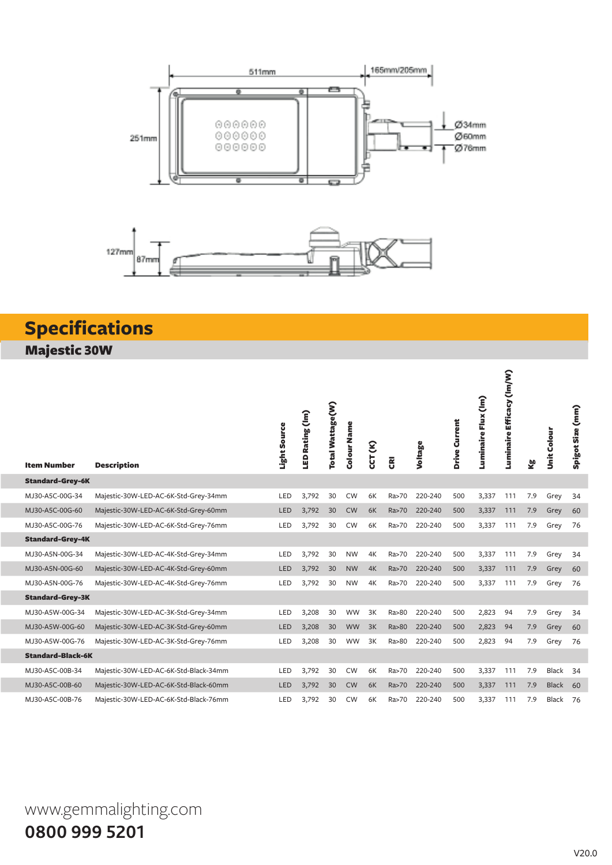

## **Specifications** Majestic 30W

| <b>Item Number</b>       | <b>Description</b>                    | Light Source | LED Rating (Im) | Total Wattage(W) | Colour Name | CCT (K) |       | Voltage | Drive Current | Flux (lm)<br>Luminaire | Efficacy (lm/W)<br>Luminaire | ⊻ౖ  | Unit Colou   | Spigot Size (mm) |
|--------------------------|---------------------------------------|--------------|-----------------|------------------|-------------|---------|-------|---------|---------------|------------------------|------------------------------|-----|--------------|------------------|
| <b>Standard-Grey-6K</b>  |                                       |              |                 |                  |             |         |       |         |               |                        |                              |     |              |                  |
| MJ30-A5C-00G-34          | Majestic-30W-LED-AC-6K-Std-Grey-34mm  | LED          | 3,792           | 30               | <b>CW</b>   | 6K      | Ra>70 | 220-240 | 500           | 3,337                  | 111                          | 7.9 | Grey         | 34               |
| MJ30-A5C-00G-60          | Majestic-30W-LED-AC-6K-Std-Grey-60mm  | LED          | 3,792           | 30               | <b>CW</b>   | 6K      | Ra>70 | 220-240 | 500           | 3,337                  | 111                          | 7.9 | Grey         | 60               |
| MJ30-A5C-00G-76          | Majestic-30W-LED-AC-6K-Std-Grey-76mm  | LED          | 3,792           | 30               | <b>CW</b>   | 6K      | Ra>70 | 220-240 | 500           | 3,337                  | 111                          | 7.9 | Grey         | 76               |
| <b>Standard-Grey-4K</b>  |                                       |              |                 |                  |             |         |       |         |               |                        |                              |     |              |                  |
| MJ30-A5N-00G-34          | Majestic-30W-LED-AC-4K-Std-Grey-34mm  | LED          | 3,792           | 30               | <b>NW</b>   | 4K      | Ra>70 | 220-240 | 500           | 3,337                  | 111                          | 7.9 | Grey         | 34               |
| MJ30-A5N-00G-60          | Majestic-30W-LED-AC-4K-Std-Grey-60mm  | LED          | 3,792           | 30               | <b>NW</b>   | 4K      | Ra>70 | 220-240 | 500           | 3,337                  | 111                          | 7.9 | Grey         | 60               |
| MJ30-A5N-00G-76          | Majestic-30W-LED-AC-4K-Std-Grey-76mm  | LED          | 3,792           | 30               | <b>NW</b>   | 4K      | Ra>70 | 220-240 | 500           | 3,337                  | 111                          | 7.9 | Grey         | 76               |
| <b>Standard-Grey-3K</b>  |                                       |              |                 |                  |             |         |       |         |               |                        |                              |     |              |                  |
| MJ30-A5W-00G-34          | Majestic-30W-LED-AC-3K-Std-Grey-34mm  | LED          | 3,208           | 30               | <b>WW</b>   | 3K      | Ra>80 | 220-240 | 500           | 2,823                  | 94                           | 7.9 | Grey         | 34               |
| MJ30-A5W-00G-60          | Majestic-30W-LED-AC-3K-Std-Grey-60mm  | LED          | 3,208           | 30               | <b>WW</b>   | 3K      | Ra>80 | 220-240 | 500           | 2,823                  | 94                           | 7.9 | Grey         | 60               |
| MJ30-A5W-00G-76          | Majestic-30W-LED-AC-3K-Std-Grey-76mm  | LED          | 3,208           | 30               | <b>WW</b>   | 3K      | Ra>80 | 220-240 | 500           | 2,823                  | 94                           | 7.9 | Grey         | 76               |
| <b>Standard-Black-6K</b> |                                       |              |                 |                  |             |         |       |         |               |                        |                              |     |              |                  |
| MJ30-A5C-00B-34          | Majestic-30W-LED-AC-6K-Std-Black-34mm | LED          | 3,792           | 30               | <b>CW</b>   | 6K      | Ra>70 | 220-240 | 500           | 3,337                  | 111                          | 7.9 | <b>Black</b> | 34               |
| MJ30-A5C-00B-60          | Majestic-30W-LED-AC-6K-Std-Black-60mm | <b>LED</b>   | 3,792           | 30               | <b>CW</b>   | 6K      | Ra>70 | 220-240 | 500           | 3,337                  | 111                          | 7.9 | <b>Black</b> | 60               |
| MJ30-A5C-00B-76          | Majestic-30W-LED-AC-6K-Std-Black-76mm | LED          | 3,792           | 30               | <b>CW</b>   | 6K      | Ra>70 | 220-240 | 500           | 3,337                  | 111                          | 7.9 | <b>Black</b> | 76               |

www.gemmalighting.com